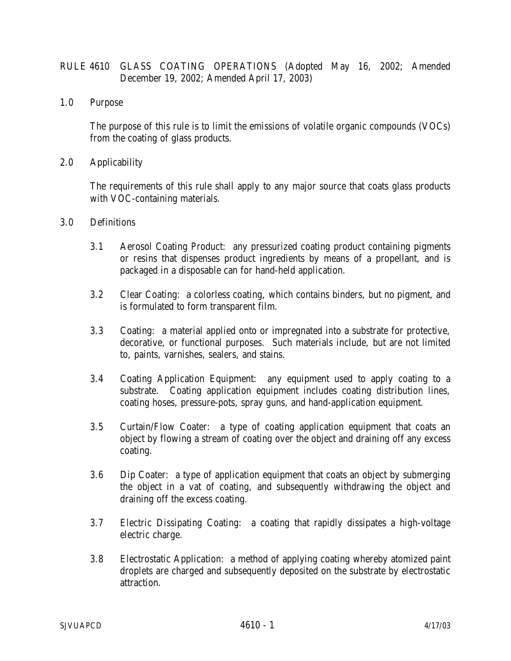# RULE 4610 GLASS COATING OPERATIONS (Adopted May 16, 2002; Amended December 19, 2002; Amended April 17, 2003)

1.0 Purpose

The purpose of this rule is to limit the emissions of volatile organic compounds (VOCs) from the coating of glass products.

2.0 Applicability

The requirements of this rule shall apply to any major source that coats glass products with VOC-containing materials.

- 3.0 Definitions
	- 3.1 Aerosol Coating Product: any pressurized coating product containing pigments or resins that dispenses product ingredients by means of a propellant, and is packaged in a disposable can for hand-held application.
	- 3.2 Clear Coating: a colorless coating, which contains binders, but no pigment, and is formulated to form transparent film.
	- 3.3 Coating: a material applied onto or impregnated into a substrate for protective, decorative, or functional purposes. Such materials include, but are not limited to, paints, varnishes, sealers, and stains.
	- 3.4 Coating Application Equipment: any equipment used to apply coating to a substrate. Coating application equipment includes coating distribution lines, coating hoses, pressure-pots, spray guns, and hand-application equipment.
	- 3.5 Curtain/Flow Coater: a type of coating application equipment that coats an object by flowing a stream of coating over the object and draining off any excess coating.
	- 3.6 Dip Coater: a type of application equipment that coats an object by submerging the object in a vat of coating, and subsequently withdrawing the object and draining off the excess coating.
	- 3.7 Electric Dissipating Coating: a coating that rapidly dissipates a high-voltage electric charge.
	- 3.8 Electrostatic Application: a method of applying coating whereby atomized paint droplets are charged and subsequently deposited on the substrate by electrostatic attraction.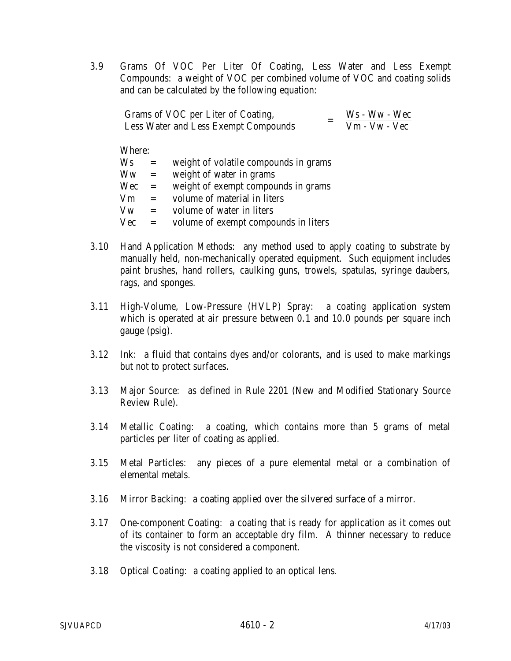3.9 Grams Of VOC Per Liter Of Coating, Less Water and Less Exempt Compounds: a weight of VOC per combined volume of VOC and coating solids and can be calculated by the following equation:

| Grams of VOC per Liter of Coating,   | $Ws - Ww - Wec$ |
|--------------------------------------|-----------------|
| Less Water and Less Exempt Compounds | $Vm - Vw - Vec$ |

Where:

| Ws         | $=$ | weight of volatile compounds in grams |
|------------|-----|---------------------------------------|
| Ww         | $=$ | weight of water in grams              |
| Wec        | $=$ | weight of exempt compounds in grams   |
| Vm         | $=$ | volume of material in liters          |
| Vw         | $=$ | volume of water in liters             |
| <b>Vec</b> | $=$ | volume of exempt compounds in liters  |

- 3.10 Hand Application Methods: any method used to apply coating to substrate by manually held, non-mechanically operated equipment. Such equipment includes paint brushes, hand rollers, caulking guns, trowels, spatulas, syringe daubers, rags, and sponges.
- 3.11 High-Volume, Low-Pressure (HVLP) Spray: a coating application system which is operated at air pressure between 0.1 and 10.0 pounds per square inch gauge (psig).
- 3.12 Ink: a fluid that contains dyes and/or colorants, and is used to make markings but not to protect surfaces.
- 3.13 Major Source: as defined in Rule 2201 (New and Modified Stationary Source Review Rule).
- 3.14 Metallic Coating: a coating, which contains more than 5 grams of metal particles per liter of coating as applied.
- 3.15 Metal Particles: any pieces of a pure elemental metal or a combination of elemental metals.
- 3.16 Mirror Backing: a coating applied over the silvered surface of a mirror.
- 3.17 One-component Coating: a coating that is ready for application as it comes out of its container to form an acceptable dry film. A thinner necessary to reduce the viscosity is not considered a component.
- 3.18 Optical Coating: a coating applied to an optical lens.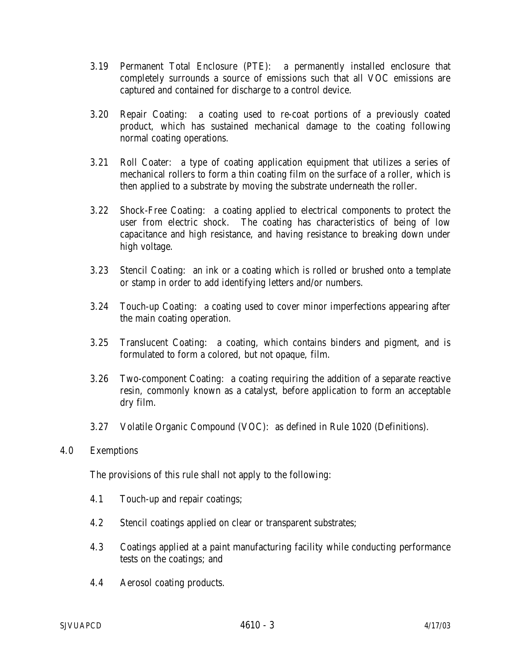- 3.19 Permanent Total Enclosure (PTE): a permanently installed enclosure that completely surrounds a source of emissions such that all VOC emissions are captured and contained for discharge to a control device.
- 3.20 Repair Coating: a coating used to re-coat portions of a previously coated product, which has sustained mechanical damage to the coating following normal coating operations.
- 3.21 Roll Coater: a type of coating application equipment that utilizes a series of mechanical rollers to form a thin coating film on the surface of a roller, which is then applied to a substrate by moving the substrate underneath the roller.
- 3.22 Shock-Free Coating: a coating applied to electrical components to protect the user from electric shock. The coating has characteristics of being of low capacitance and high resistance, and having resistance to breaking down under high voltage.
- 3.23 Stencil Coating: an ink or a coating which is rolled or brushed onto a template or stamp in order to add identifying letters and/or numbers.
- 3.24 Touch-up Coating: a coating used to cover minor imperfections appearing after the main coating operation.
- 3.25 Translucent Coating: a coating, which contains binders and pigment, and is formulated to form a colored, but not opaque, film.
- 3.26 Two-component Coating: a coating requiring the addition of a separate reactive resin, commonly known as a catalyst, before application to form an acceptable dry film.
- 3.27 Volatile Organic Compound (VOC): as defined in Rule 1020 (Definitions).
- 4.0 Exemptions

The provisions of this rule shall not apply to the following:

- 4.1 Touch-up and repair coatings;
- 4.2 Stencil coatings applied on clear or transparent substrates;
- 4.3 Coatings applied at a paint manufacturing facility while conducting performance tests on the coatings; and
- 4.4 Aerosol coating products.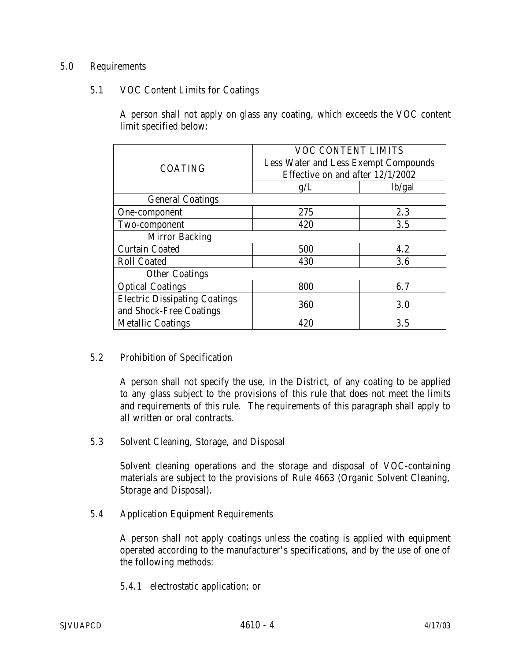## 5.0 Requirements

## 5.1 VOC Content Limits for Coatings

A person shall not apply on glass any coating, which exceeds the VOC content limit specified below:

| <b>COATING</b>                       | <b>VOC CONTENT LIMITS</b>                   |        |  |
|--------------------------------------|---------------------------------------------|--------|--|
|                                      | <b>Less Water and Less Exempt Compounds</b> |        |  |
|                                      | Effective on and after 12/1/2002            |        |  |
|                                      | g/L                                         | lb/gal |  |
| <b>General Coatings</b>              |                                             |        |  |
| One-component                        | 275                                         | 2.3    |  |
| Two-component                        | 420                                         | 3.5    |  |
| <b>Mirror Backing</b>                |                                             |        |  |
| <b>Curtain Coated</b>                | 500                                         | 4.2    |  |
| <b>Roll Coated</b>                   | 430                                         | 3.6    |  |
| <b>Other Coatings</b>                |                                             |        |  |
| <b>Optical Coatings</b>              | 800                                         | 6.7    |  |
| <b>Electric Dissipating Coatings</b> | 360<br>3.0                                  |        |  |
| and Shock-Free Coatings              |                                             |        |  |
| <b>Metallic Coatings</b>             | 420                                         | 3.5    |  |

#### 5.2 Prohibition of Specification

A person shall not specify the use, in the District, of any coating to be applied to any glass subject to the provisions of this rule that does not meet the limits and requirements of this rule. The requirements of this paragraph shall apply to all written or oral contracts.

5.3 Solvent Cleaning, Storage, and Disposal

Solvent cleaning operations and the storage and disposal of VOC-containing materials are subject to the provisions of Rule 4663 (Organic Solvent Cleaning, Storage and Disposal).

5.4 Application Equipment Requirements

A person shall not apply coatings unless the coating is applied with equipment operated according to the manufacturer's specifications, and by the use of one of the following methods:

5.4.1 electrostatic application; or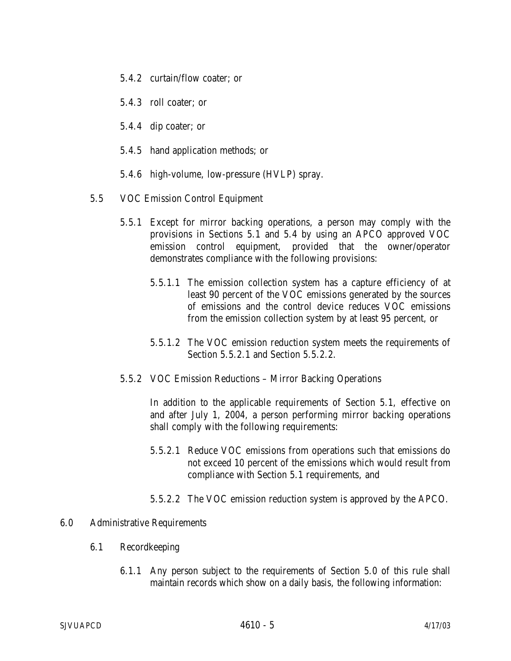- 5.4.2 curtain/flow coater; or
- 5.4.3 roll coater; or
- 5.4.4 dip coater; or
- 5.4.5 hand application methods; or
- 5.4.6 high-volume, low-pressure (HVLP) spray.
- 5.5 VOC Emission Control Equipment
	- 5.5.1 Except for mirror backing operations, a person may comply with the provisions in Sections 5.1 and 5.4 by using an APCO approved VOC emission control equipment, provided that the owner/operator demonstrates compliance with the following provisions:
		- 5.5.1.1 The emission collection system has a capture efficiency of at least 90 percent of the VOC emissions generated by the sources of emissions and the control device reduces VOC emissions from the emission collection system by at least 95 percent, or
		- 5.5.1.2 The VOC emission reduction system meets the requirements of Section 5.5.2.1 and Section 5.5.2.2.
	- 5.5.2 VOC Emission Reductions Mirror Backing Operations

In addition to the applicable requirements of Section 5.1, effective on and after July 1, 2004, a person performing mirror backing operations shall comply with the following requirements:

- 5.5.2.1 Reduce VOC emissions from operations such that emissions do not exceed 10 percent of the emissions which would result from compliance with Section 5.1 requirements, and
- 5.5.2.2 The VOC emission reduction system is approved by the APCO.

## 6.0 Administrative Requirements

- 6.1 Recordkeeping
	- 6.1.1 Any person subject to the requirements of Section 5.0 of this rule shall maintain records which show on a daily basis, the following information: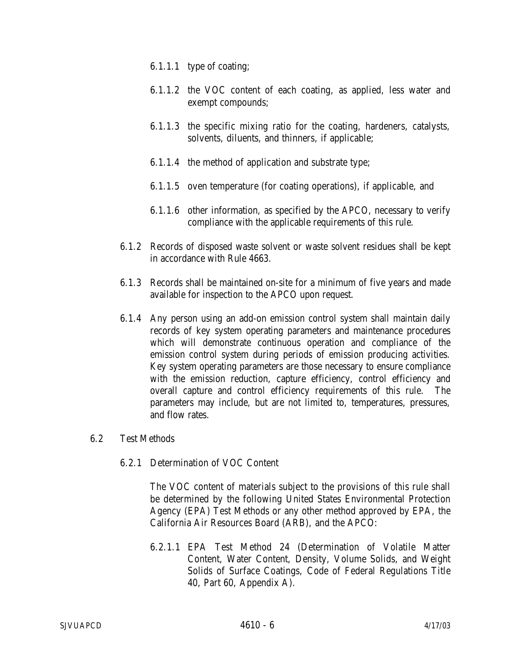- 6.1.1.1 type of coating;
- 6.1.1.2 the VOC content of each coating, as applied, less water and exempt compounds;
- 6.1.1.3 the specific mixing ratio for the coating, hardeners, catalysts, solvents, diluents, and thinners, if applicable;
- 6.1.1.4 the method of application and substrate type;
- 6.1.1.5 oven temperature (for coating operations), if applicable, and
- 6.1.1.6 other information, as specified by the APCO, necessary to verify compliance with the applicable requirements of this rule.
- 6.1.2 Records of disposed waste solvent or waste solvent residues shall be kept in accordance with Rule 4663.
- 6.1.3 Records shall be maintained on-site for a minimum of five years and made available for inspection to the APCO upon request.
- 6.1.4 Any person using an add-on emission control system shall maintain daily records of key system operating parameters and maintenance procedures which will demonstrate continuous operation and compliance of the emission control system during periods of emission producing activities. Key system operating parameters are those necessary to ensure compliance with the emission reduction, capture efficiency, control efficiency and overall capture and control efficiency requirements of this rule. The parameters may include, but are not limited to, temperatures, pressures, and flow rates.
- 6.2 Test Methods
	- 6.2.1 Determination of VOC Content

The VOC content of materials subject to the provisions of this rule shall be determined by the following United States Environmental Protection Agency (EPA) Test Methods or any other method approved by EPA, the California Air Resources Board (ARB), and the APCO:

6.2.1.1 EPA Test Method 24 (Determination of Volatile Matter Content, Water Content, Density, Volume Solids, and Weight Solids of Surface Coatings, Code of Federal Regulations Title 40, Part 60, Appendix A).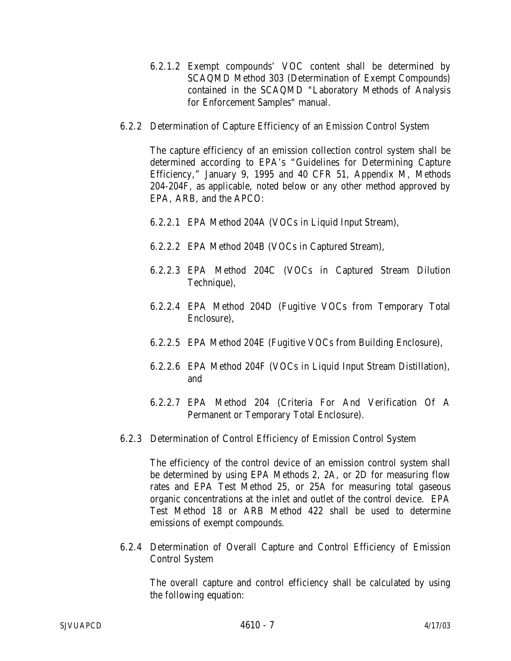- 6.2.1.2 Exempt compounds' VOC content shall be determined by SCAQMD Method 303 (Determination of Exempt Compounds) contained in the SCAQMD "Laboratory Methods of Analysis for Enforcement Samples" manual.
- 6.2.2 Determination of Capture Efficiency of an Emission Control System

The capture efficiency of an emission collection control system shall be determined according to EPA's "Guidelines for Determining Capture Efficiency," January 9, 1995 and 40 CFR 51, Appendix M, Methods 204-204F, as applicable, noted below or any other method approved by EPA, ARB, and the APCO:

- 6.2.2.1 EPA Method 204A (VOCs in Liquid Input Stream),
- 6.2.2.2 EPA Method 204B (VOCs in Captured Stream),
- 6.2.2.3 EPA Method 204C (VOCs in Captured Stream Dilution Technique),
- 6.2.2.4 EPA Method 204D (Fugitive VOCs from Temporary Total Enclosure),
- 6.2.2.5 EPA Method 204E (Fugitive VOCs from Building Enclosure),
- 6.2.2.6 EPA Method 204F (VOCs in Liquid Input Stream Distillation), and
- 6.2.2.7 EPA Method 204 (Criteria For And Verification Of A Permanent or Temporary Total Enclosure).
- 6.2.3 Determination of Control Efficiency of Emission Control System

The efficiency of the control device of an emission control system shall be determined by using EPA Methods 2, 2A, or 2D for measuring flow rates and EPA Test Method 25, or 25A for measuring total gaseous organic concentrations at the inlet and outlet of the control device. EPA Test Method 18 or ARB Method 422 shall be used to determine emissions of exempt compounds.

6.2.4 Determination of Overall Capture and Control Efficiency of Emission Control System

The overall capture and control efficiency shall be calculated by using the following equation: